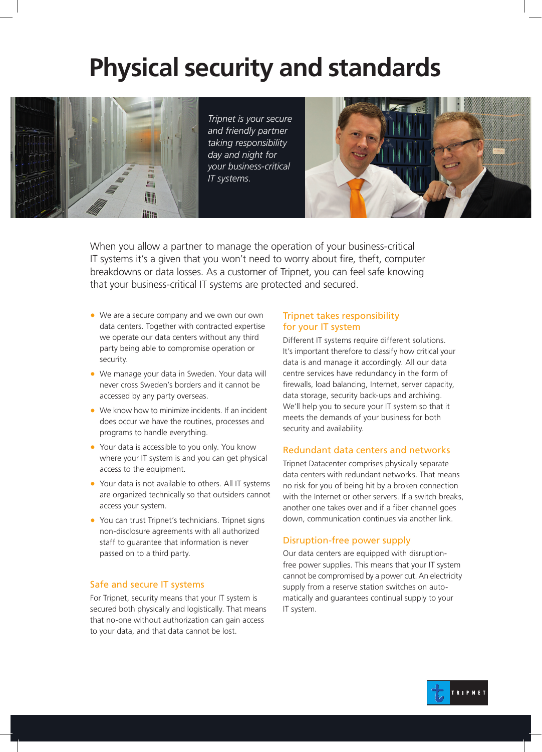# **Physical security and standards**



*Tripnet is your secure and friendly partner taking responsibility day and night for your business-critical IT systems.*



When you allow a partner to manage the operation of your business-critical IT systems it's a given that you won't need to worry about fire, theft, computer breakdowns or data losses. As a customer of Tripnet, you can feel safe knowing that your business-critical IT systems are protected and secured.

- We are a secure company and we own our own data centers. Together with contracted expertise we operate our data centers without any third party being able to compromise operation or security.
- We manage your data in Sweden. Your data will never cross Sweden's borders and it cannot be accessed by any party overseas.
- We know how to minimize incidents. If an incident does occur we have the routines, processes and programs to handle everything.
- Your data is accessible to you only. You know where your IT system is and you can get physical access to the equipment.
- Your data is not available to others. All IT systems are organized technically so that outsiders cannot access your system.
- You can trust Tripnet's technicians. Tripnet signs non-disclosure agreements with all authorized staff to guarantee that information is never passed on to a third party.

# Safe and secure IT systems

For Tripnet, security means that your IT system is secured both physically and logistically. That means that no-one without authorization can gain access to your data, and that data cannot be lost.

# Tripnet takes responsibility for your IT system

Different IT systems require different solutions. It's important therefore to classify how critical your data is and manage it accordingly. All our data centre services have redundancy in the form of firewalls, load balancing, Internet, server capacity, data storage, security back-ups and archiving. We'll help you to secure your IT system so that it meets the demands of your business for both security and availability.

## Redundant data centers and networks

Tripnet Datacenter comprises physically separate data centers with redundant networks. That means no risk for you of being hit by a broken connection with the Internet or other servers. If a switch breaks, another one takes over and if a fiber channel goes down, communication continues via another link.

# Disruption-free power supply

Our data centers are equipped with disruptionfree power supplies. This means that your IT system cannot be compromised by a power cut. An electricity supply from a reserve station switches on automatically and guarantees continual supply to your IT system.